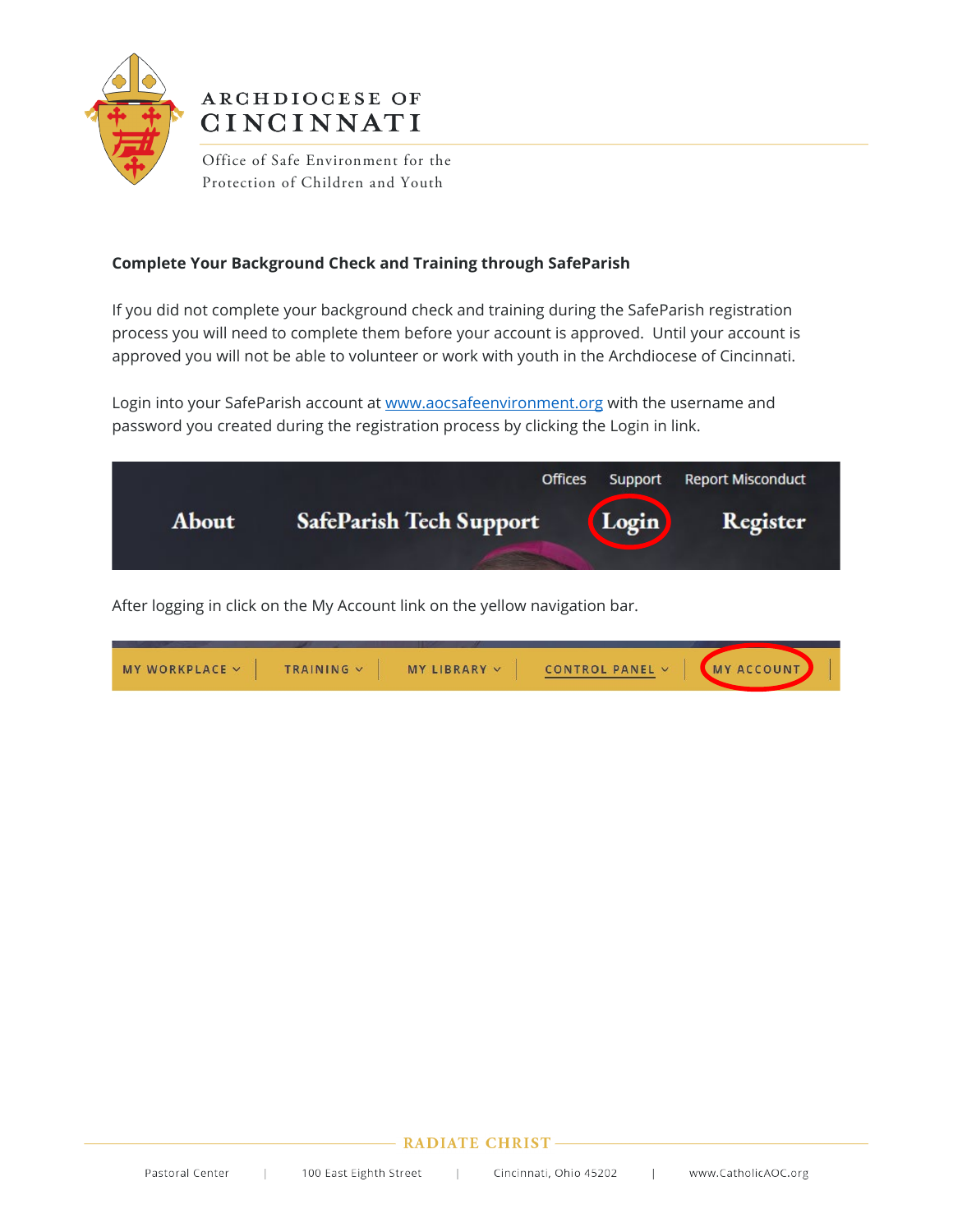

# ARCHDIOCESE OF **CINCINNATI**

Office of Safe Environment for the Protection of Children and Youth

# **Complete Your Background Check and Training through SafeParish**

If you did not complete your background check and training during the SafeParish registration process you will need to complete them before your account is approved. Until your account is approved you will not be able to volunteer or work with youth in the Archdiocese of Cincinnati.

Login into your SafeParish account a[t www.aocsafeenvironment.org](http://www.aocsafeenvironment.org/) with the username and password you created during the registration process by clicking the Login in link.



After logging in click on the My Account link on the yellow navigation bar.

| MY WORKPLACE $\vee$ | TRAINING V | $MY LIBRRAY \vee$ | CONTROL PANEL $\vee$ | <b>MY ACCOUNT</b> |
|---------------------|------------|-------------------|----------------------|-------------------|
|                     |            |                   |                      |                   |

## **RADIATE CHRIST-**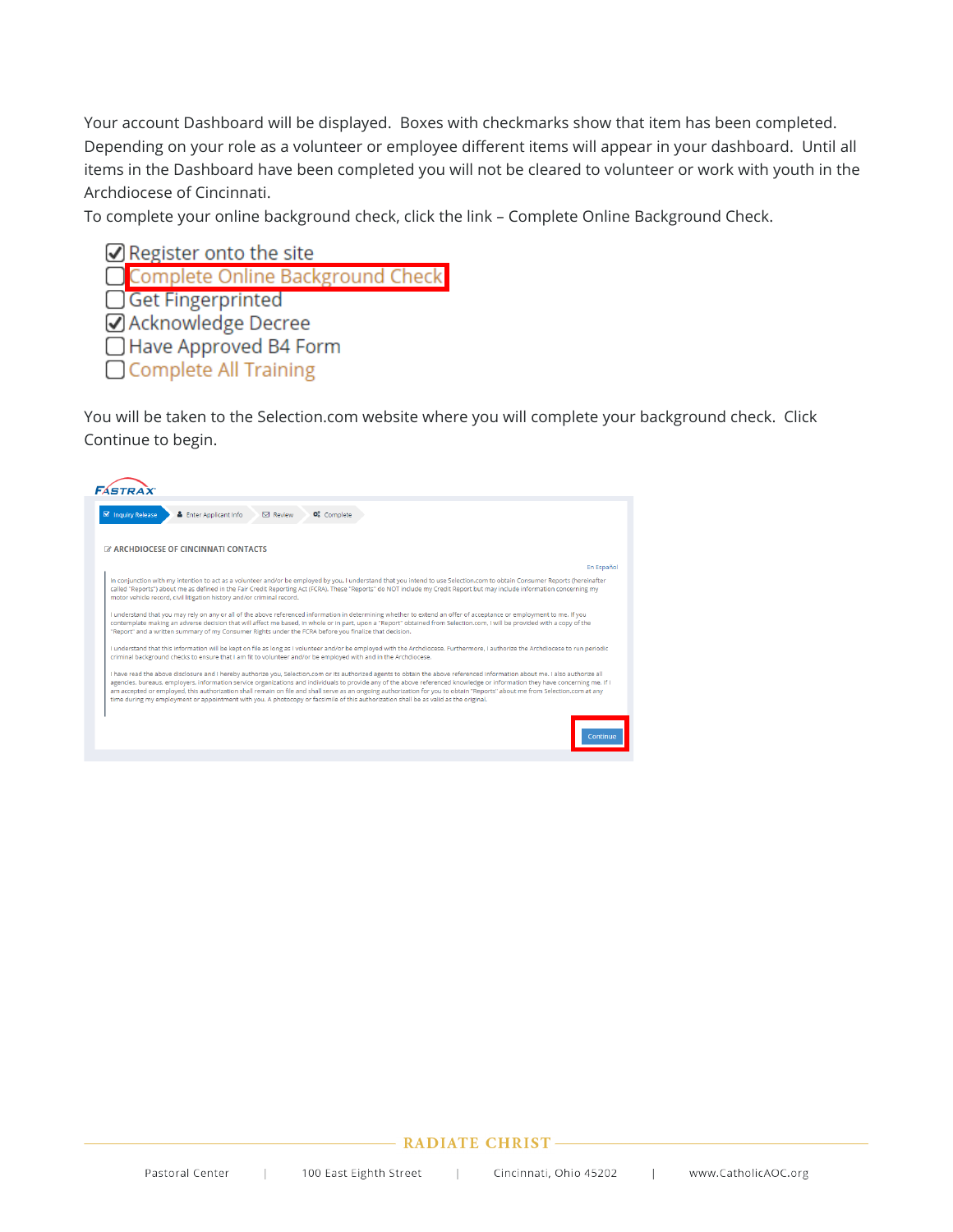Your account Dashboard will be displayed. Boxes with checkmarks show that item has been completed. Depending on your role as a volunteer or employee different items will appear in your dashboard. Until all items in the Dashboard have been completed you will not be cleared to volunteer or work with youth in the Archdiocese of Cincinnati.

To complete your online background check, click the link – Complete Online Background Check.

Register onto the site Complete Online Background Chec Get Fingerprinted ☑ Acknowledge Decree □ Have Approved B4 Form □ Complete All Training

You will be taken to the Selection.com website where you will complete your background check. Click Continue to begin.



#### **RADIATE CHRIST-**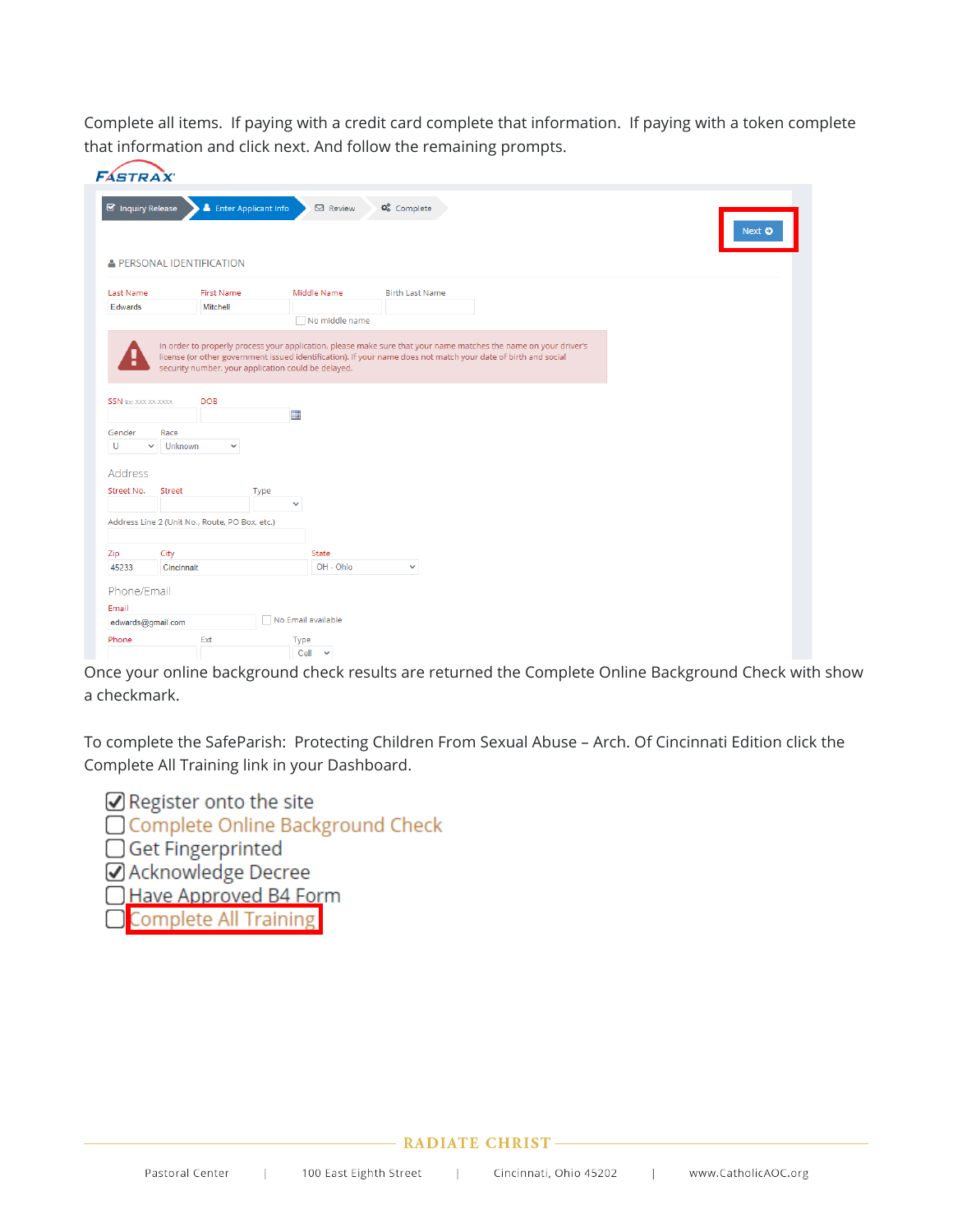Complete all items. If paying with a credit card complete that information. If paying with a token complete that information and click next. And follow the remaining prompts.

|                                                           | <b>FÁSTRAX</b>                                 |                                   |                  |                                         |
|-----------------------------------------------------------|------------------------------------------------|-----------------------------------|------------------|-----------------------------------------|
| Inquiry Release                                           |                                                | <b>&amp;</b> Enter Applicant Info | $\boxdot$ Review | <b>Q<sub>o</sub></b> Complete<br>Next O |
|                                                           | PERSONAL IDENTIFICATION                        |                                   |                  |                                         |
| Last Name                                                 | <b>First Name</b>                              |                                   | Middle Name      | <b>Birth Last Name</b>                  |
| Edwards                                                   | Mitchell                                       |                                   |                  |                                         |
|                                                           |                                                |                                   | No middle name   |                                         |
| <b>SSN</b> Ex: XXX-XX-XXXX                                | <b>DOB</b>                                     | m                                 |                  |                                         |
|                                                           |                                                |                                   |                  |                                         |
| Gender                                                    | Race                                           |                                   |                  |                                         |
| U                                                         | $\vee$ Unknown<br>$\checkmark$                 |                                   |                  |                                         |
| Address                                                   |                                                |                                   |                  |                                         |
| Street No.                                                | Street                                         | Type                              |                  |                                         |
|                                                           |                                                |                                   |                  |                                         |
|                                                           |                                                | $\checkmark$                      |                  |                                         |
|                                                           | Address Line 2 (Unit No., Route, PO Box, etc.) |                                   |                  |                                         |
|                                                           |                                                |                                   |                  |                                         |
|                                                           | City                                           |                                   | State            |                                         |
|                                                           | Cincinnait                                     |                                   | OH - Ohio        | $\checkmark$                            |
|                                                           |                                                |                                   |                  |                                         |
|                                                           |                                                |                                   |                  |                                         |
| Zip<br>45233<br>Phone/Email<br>Email<br>edwards@gmail.com |                                                | No Email available                |                  |                                         |
| Phone                                                     | Ext                                            | Type                              |                  |                                         |

Once your online background check results are returned the Complete Online Background Check with show a checkmark.

To complete the SafeParish: Protecting Children From Sexual Abuse – Arch. Of Cincinnati Edition click the Complete All Training link in your Dashboard.



### **RADIATE CHRIST-**